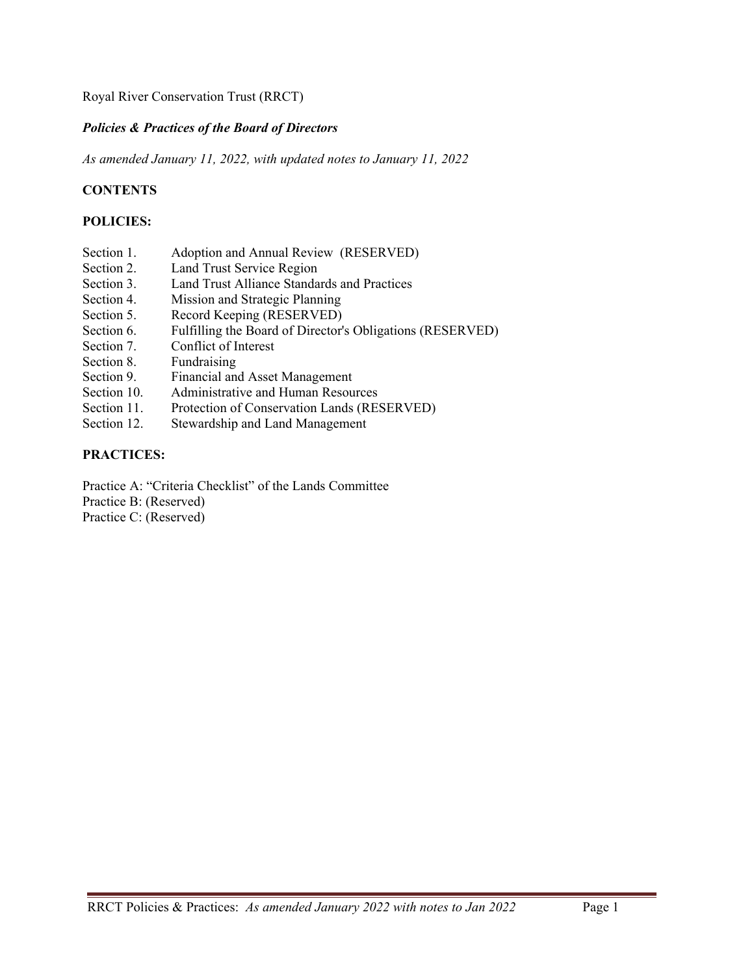#### *Policies & Practices of the Board of Directors*

*As amended January 11, 2022, with updated notes to January 11, 2022* 

# **CONTENTS**

#### **POLICIES:**

- Section 1. Adoption and Annual Review (RESERVED)<br>Section 2. Land Trust Service Region
- Land Trust Service Region
- Section 3. Land Trust Alliance Standards and Practices
- Section 4. Mission and Strategic Planning
- Section 5. Record Keeping (RESERVED)
- Section 6. Fulfilling the Board of Director's Obligations (RESERVED)
- Section 7. Conflict of Interest
- Section 8. Fundraising
- Section 9. Financial and Asset Management
- Section 10. Administrative and Human Resources
- Section 11. Protection of Conservation Lands (RESERVED)
- Section 12. Stewardship and Land Management

# **PRACTICES:**

Practice A: "Criteria Checklist" of the Lands Committee Practice B: (Reserved) Practice C: (Reserved)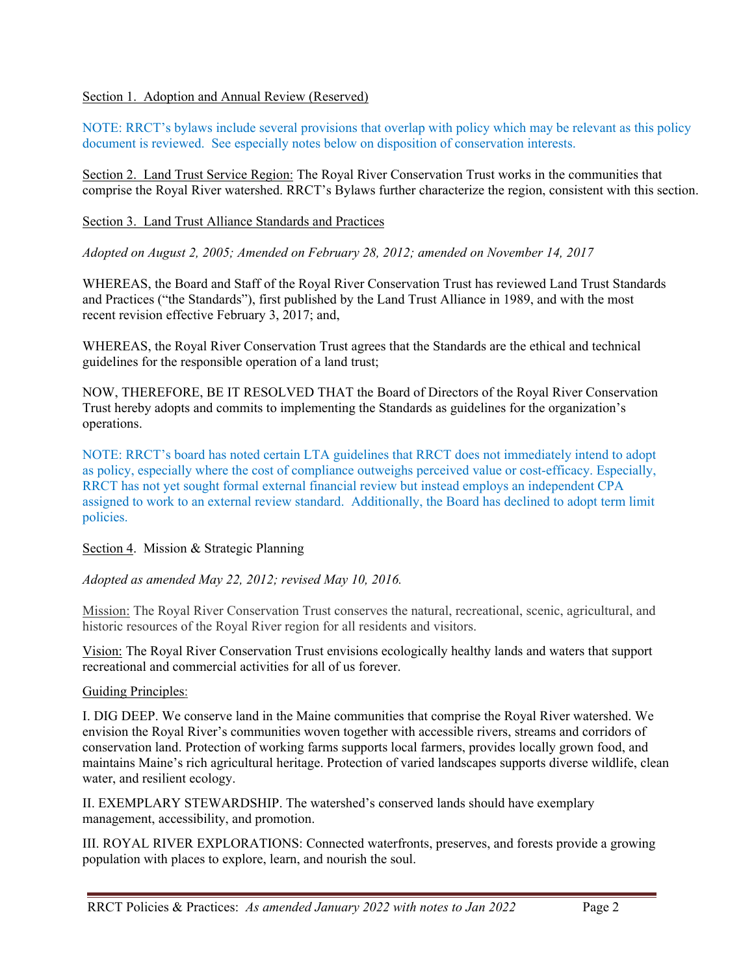#### Section 1. Adoption and Annual Review (Reserved)

NOTE: RRCT's bylaws include several provisions that overlap with policy which may be relevant as this policy document is reviewed. See especially notes below on disposition of conservation interests.

Section 2. Land Trust Service Region: The Royal River Conservation Trust works in the communities that comprise the Royal River watershed. RRCT's Bylaws further characterize the region, consistent with this section.

Section 3. Land Trust Alliance Standards and Practices

*Adopted on August 2, 2005; Amended on February 28, 2012; amended on November 14, 2017* 

WHEREAS, the Board and Staff of the Royal River Conservation Trust has reviewed Land Trust Standards and Practices ("the Standards"), first published by the Land Trust Alliance in 1989, and with the most recent revision effective February 3, 2017; and,

WHEREAS, the Royal River Conservation Trust agrees that the Standards are the ethical and technical guidelines for the responsible operation of a land trust;

NOW, THEREFORE, BE IT RESOLVED THAT the Board of Directors of the Royal River Conservation Trust hereby adopts and commits to implementing the Standards as guidelines for the organization's operations.

NOTE: RRCT's board has noted certain LTA guidelines that RRCT does not immediately intend to adopt as policy, especially where the cost of compliance outweighs perceived value or cost-efficacy. Especially, RRCT has not yet sought formal external financial review but instead employs an independent CPA assigned to work to an external review standard. Additionally, the Board has declined to adopt term limit policies.

Section 4. Mission & Strategic Planning

*Adopted as amended May 22, 2012; revised May 10, 2016.* 

Mission: The Royal River Conservation Trust conserves the natural, recreational, scenic, agricultural, and historic resources of the Royal River region for all residents and visitors.

Vision: The Royal River Conservation Trust envisions ecologically healthy lands and waters that support recreational and commercial activities for all of us forever.

#### Guiding Principles:

I. DIG DEEP. We conserve land in the Maine communities that comprise the Royal River watershed. We envision the Royal River's communities woven together with accessible rivers, streams and corridors of conservation land. Protection of working farms supports local farmers, provides locally grown food, and maintains Maine's rich agricultural heritage. Protection of varied landscapes supports diverse wildlife, clean water, and resilient ecology.

II. EXEMPLARY STEWARDSHIP. The watershed's conserved lands should have exemplary management, accessibility, and promotion.

III. ROYAL RIVER EXPLORATIONS: Connected waterfronts, preserves, and forests provide a growing population with places to explore, learn, and nourish the soul.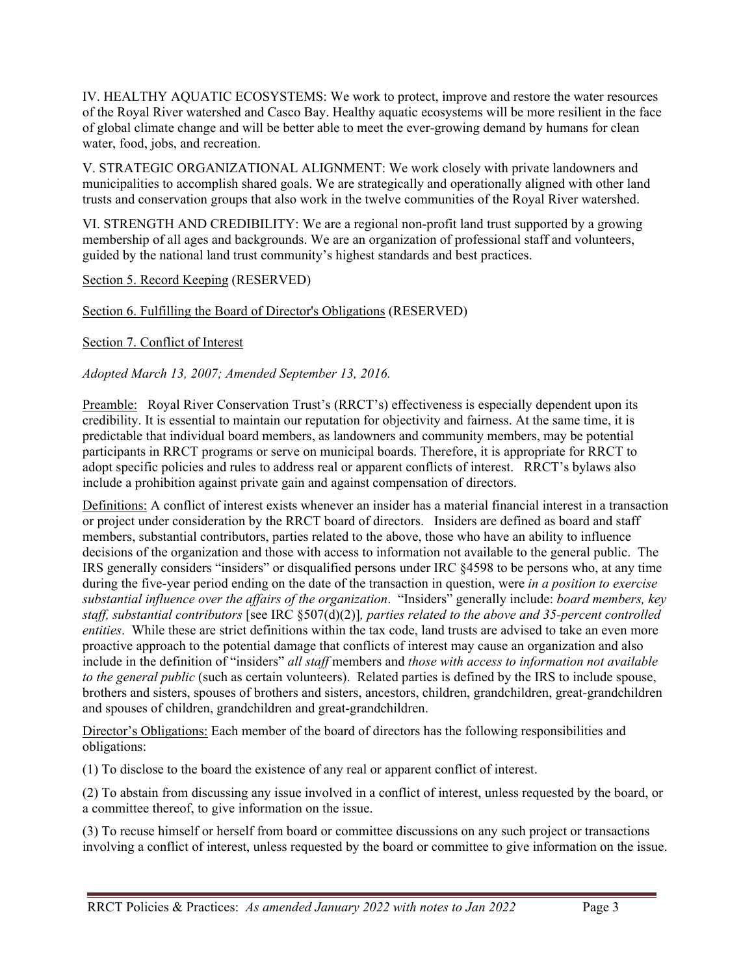IV. HEALTHY AQUATIC ECOSYSTEMS: We work to protect, improve and restore the water resources of the Royal River watershed and Casco Bay. Healthy aquatic ecosystems will be more resilient in the face of global climate change and will be better able to meet the ever-growing demand by humans for clean water, food, jobs, and recreation.

V. STRATEGIC ORGANIZATIONAL ALIGNMENT: We work closely with private landowners and municipalities to accomplish shared goals. We are strategically and operationally aligned with other land trusts and conservation groups that also work in the twelve communities of the Royal River watershed.

VI. STRENGTH AND CREDIBILITY: We are a regional non-profit land trust supported by a growing membership of all ages and backgrounds. We are an organization of professional staff and volunteers, guided by the national land trust community's highest standards and best practices.

Section 5. Record Keeping (RESERVED)

Section 6. Fulfilling the Board of Director's Obligations (RESERVED)

Section 7. Conflict of Interest

#### *Adopted March 13, 2007; Amended September 13, 2016.*

Preamble: Royal River Conservation Trust's (RRCT's) effectiveness is especially dependent upon its credibility. It is essential to maintain our reputation for objectivity and fairness. At the same time, it is predictable that individual board members, as landowners and community members, may be potential participants in RRCT programs or serve on municipal boards. Therefore, it is appropriate for RRCT to adopt specific policies and rules to address real or apparent conflicts of interest. RRCT's bylaws also include a prohibition against private gain and against compensation of directors.

Definitions: A conflict of interest exists whenever an insider has a material financial interest in a transaction or project under consideration by the RRCT board of directors.Insiders are defined as board and staff members, substantial contributors, parties related to the above, those who have an ability to influence decisions of the organization and those with access to information not available to the general public. The IRS generally considers "insiders" or disqualified persons under IRC §4598 to be persons who, at any time during the five-year period ending on the date of the transaction in question, were *in a position to exercise substantial influence over the affairs of the organization*. "Insiders" generally include: *board members, key staff, substantial contributors* [see IRC §507(d)(2)]*, parties related to the above and 35-percent controlled entities*. While these are strict definitions within the tax code, land trusts are advised to take an even more proactive approach to the potential damage that conflicts of interest may cause an organization and also include in the definition of "insiders" *all staff* members and *those with access to information not available to the general public* (such as certain volunteers). Related parties is defined by the IRS to include spouse, brothers and sisters, spouses of brothers and sisters, ancestors, children, grandchildren, great-grandchildren and spouses of children, grandchildren and great-grandchildren.

Director's Obligations: Each member of the board of directors has the following responsibilities and obligations:

(1) To disclose to the board the existence of any real or apparent conflict of interest.

(2) To abstain from discussing any issue involved in a conflict of interest, unless requested by the board, or a committee thereof, to give information on the issue.

(3) To recuse himself or herself from board or committee discussions on any such project or transactions involving a conflict of interest, unless requested by the board or committee to give information on the issue.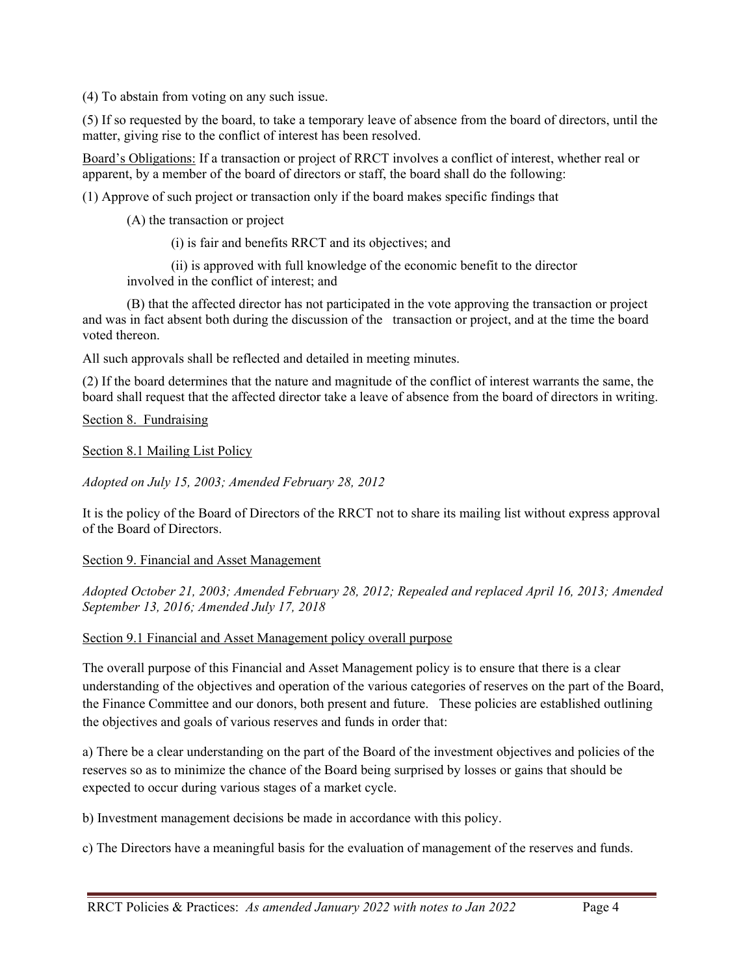(4) To abstain from voting on any such issue.

(5) If so requested by the board, to take a temporary leave of absence from the board of directors, until the matter, giving rise to the conflict of interest has been resolved.

Board's Obligations: If a transaction or project of RRCT involves a conflict of interest, whether real or apparent, by a member of the board of directors or staff, the board shall do the following:

(1) Approve of such project or transaction only if the board makes specific findings that

(A) the transaction or project

(i) is fair and benefits RRCT and its objectives; and

 (ii) is approved with full knowledge of the economic benefit to the director involved in the conflict of interest; and

 (B) that the affected director has not participated in the vote approving the transaction or project and was in fact absent both during the discussion of the transaction or project, and at the time the board voted thereon.

All such approvals shall be reflected and detailed in meeting minutes.

(2) If the board determines that the nature and magnitude of the conflict of interest warrants the same, the board shall request that the affected director take a leave of absence from the board of directors in writing.

Section 8. Fundraising

Section 8.1 Mailing List Policy

*Adopted on July 15, 2003; Amended February 28, 2012* 

It is the policy of the Board of Directors of the RRCT not to share its mailing list without express approval of the Board of Directors.

#### Section 9. Financial and Asset Management

*Adopted October 21, 2003; Amended February 28, 2012; Repealed and replaced April 16, 2013; Amended September 13, 2016; Amended July 17, 2018* 

Section 9.1 Financial and Asset Management policy overall purpose

The overall purpose of this Financial and Asset Management policy is to ensure that there is a clear understanding of the objectives and operation of the various categories of reserves on the part of the Board, the Finance Committee and our donors, both present and future. These policies are established outlining the objectives and goals of various reserves and funds in order that:

a) There be a clear understanding on the part of the Board of the investment objectives and policies of the reserves so as to minimize the chance of the Board being surprised by losses or gains that should be expected to occur during various stages of a market cycle.

b) Investment management decisions be made in accordance with this policy.

c) The Directors have a meaningful basis for the evaluation of management of the reserves and funds.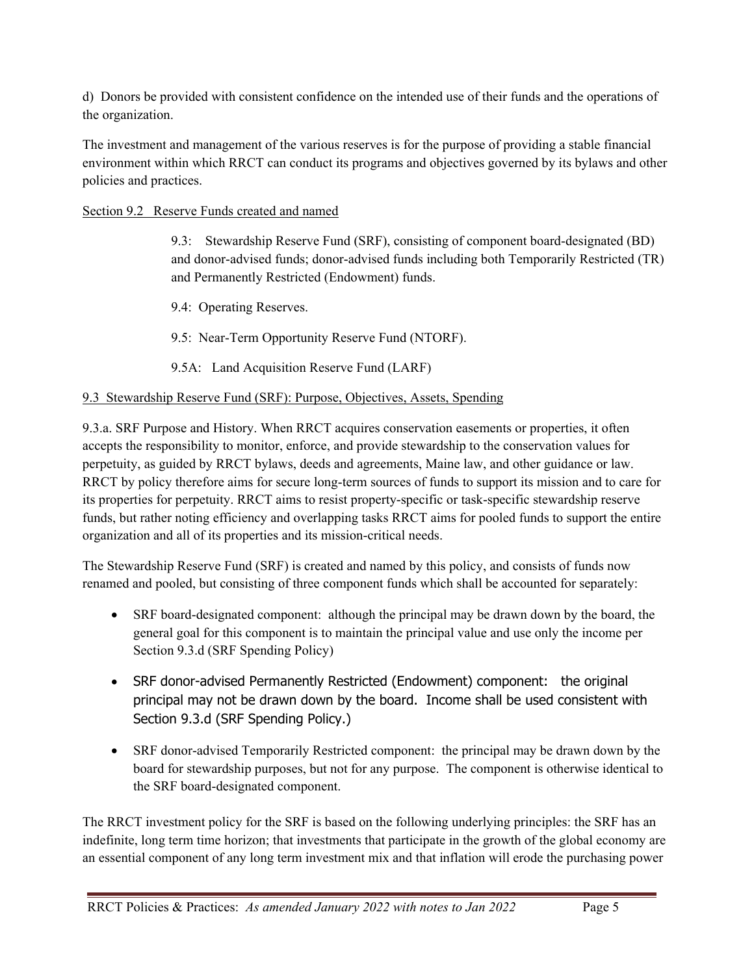d) Donors be provided with consistent confidence on the intended use of their funds and the operations of the organization.

The investment and management of the various reserves is for the purpose of providing a stable financial environment within which RRCT can conduct its programs and objectives governed by its bylaws and other policies and practices.

# Section 9.2 Reserve Funds created and named

9.3: Stewardship Reserve Fund (SRF), consisting of component board-designated (BD) and donor-advised funds; donor-advised funds including both Temporarily Restricted (TR) and Permanently Restricted (Endowment) funds.

9.4: Operating Reserves.

9.5: Near-Term Opportunity Reserve Fund (NTORF).

9.5A: Land Acquisition Reserve Fund (LARF)

# 9.3 Stewardship Reserve Fund (SRF): Purpose, Objectives, Assets, Spending

9.3.a. SRF Purpose and History. When RRCT acquires conservation easements or properties, it often accepts the responsibility to monitor, enforce, and provide stewardship to the conservation values for perpetuity, as guided by RRCT bylaws, deeds and agreements, Maine law, and other guidance or law. RRCT by policy therefore aims for secure long-term sources of funds to support its mission and to care for its properties for perpetuity. RRCT aims to resist property-specific or task-specific stewardship reserve funds, but rather noting efficiency and overlapping tasks RRCT aims for pooled funds to support the entire organization and all of its properties and its mission-critical needs.

The Stewardship Reserve Fund (SRF) is created and named by this policy, and consists of funds now renamed and pooled, but consisting of three component funds which shall be accounted for separately:

- SRF board-designated component: although the principal may be drawn down by the board, the general goal for this component is to maintain the principal value and use only the income per Section 9.3.d (SRF Spending Policy)
- SRF donor-advised Permanently Restricted (Endowment) component: the original principal may not be drawn down by the board. Income shall be used consistent with Section 9.3.d (SRF Spending Policy.)
- SRF donor-advised Temporarily Restricted component: the principal may be drawn down by the board for stewardship purposes, but not for any purpose. The component is otherwise identical to the SRF board-designated component.

The RRCT investment policy for the SRF is based on the following underlying principles: the SRF has an indefinite, long term time horizon; that investments that participate in the growth of the global economy are an essential component of any long term investment mix and that inflation will erode the purchasing power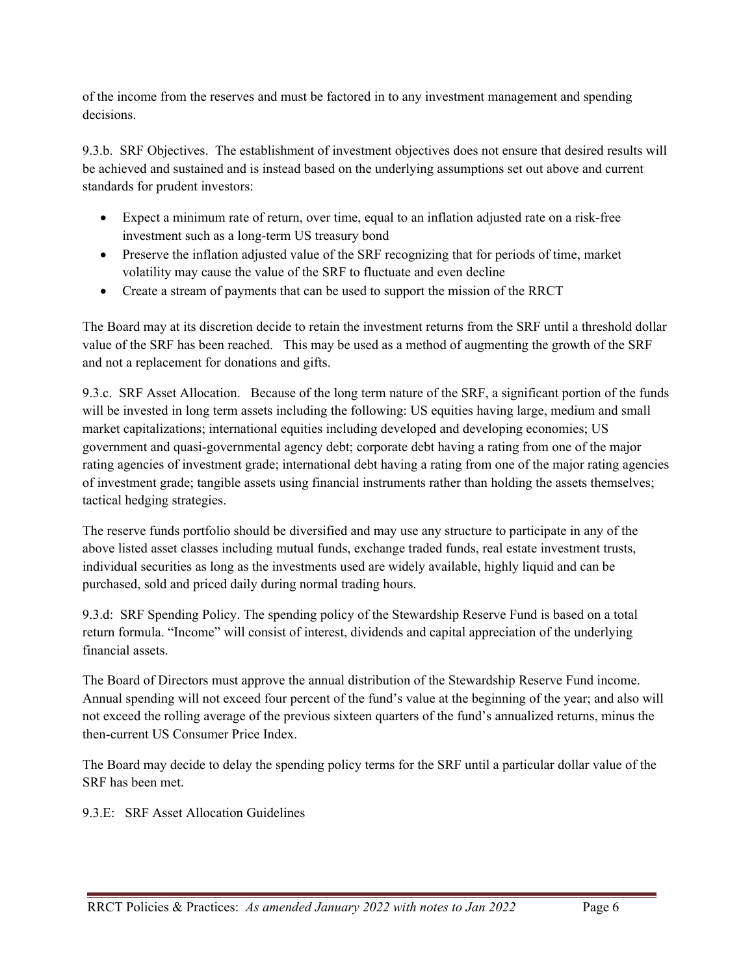of the income from the reserves and must be factored in to any investment management and spending decisions.

9.3.b. SRF Objectives. The establishment of investment objectives does not ensure that desired results will be achieved and sustained and is instead based on the underlying assumptions set out above and current standards for prudent investors:

- Expect a minimum rate of return, over time, equal to an inflation adjusted rate on a risk-free investment such as a long-term US treasury bond
- Preserve the inflation adjusted value of the SRF recognizing that for periods of time, market volatility may cause the value of the SRF to fluctuate and even decline
- Create a stream of payments that can be used to support the mission of the RRCT

The Board may at its discretion decide to retain the investment returns from the SRF until a threshold dollar value of the SRF has been reached. This may be used as a method of augmenting the growth of the SRF and not a replacement for donations and gifts.

9.3.c. SRF Asset Allocation. Because of the long term nature of the SRF, a significant portion of the funds will be invested in long term assets including the following: US equities having large, medium and small market capitalizations; international equities including developed and developing economies; US government and quasi-governmental agency debt; corporate debt having a rating from one of the major rating agencies of investment grade; international debt having a rating from one of the major rating agencies of investment grade; tangible assets using financial instruments rather than holding the assets themselves; tactical hedging strategies.

The reserve funds portfolio should be diversified and may use any structure to participate in any of the above listed asset classes including mutual funds, exchange traded funds, real estate investment trusts, individual securities as long as the investments used are widely available, highly liquid and can be purchased, sold and priced daily during normal trading hours.

9.3.d: SRF Spending Policy. The spending policy of the Stewardship Reserve Fund is based on a total return formula. "Income" will consist of interest, dividends and capital appreciation of the underlying financial assets.

The Board of Directors must approve the annual distribution of the Stewardship Reserve Fund income. Annual spending will not exceed four percent of the fund's value at the beginning of the year; and also will not exceed the rolling average of the previous sixteen quarters of the fund's annualized returns, minus the then-current US Consumer Price Index.

The Board may decide to delay the spending policy terms for the SRF until a particular dollar value of the SRF has been met.

9.3.E: SRF Asset Allocation Guidelines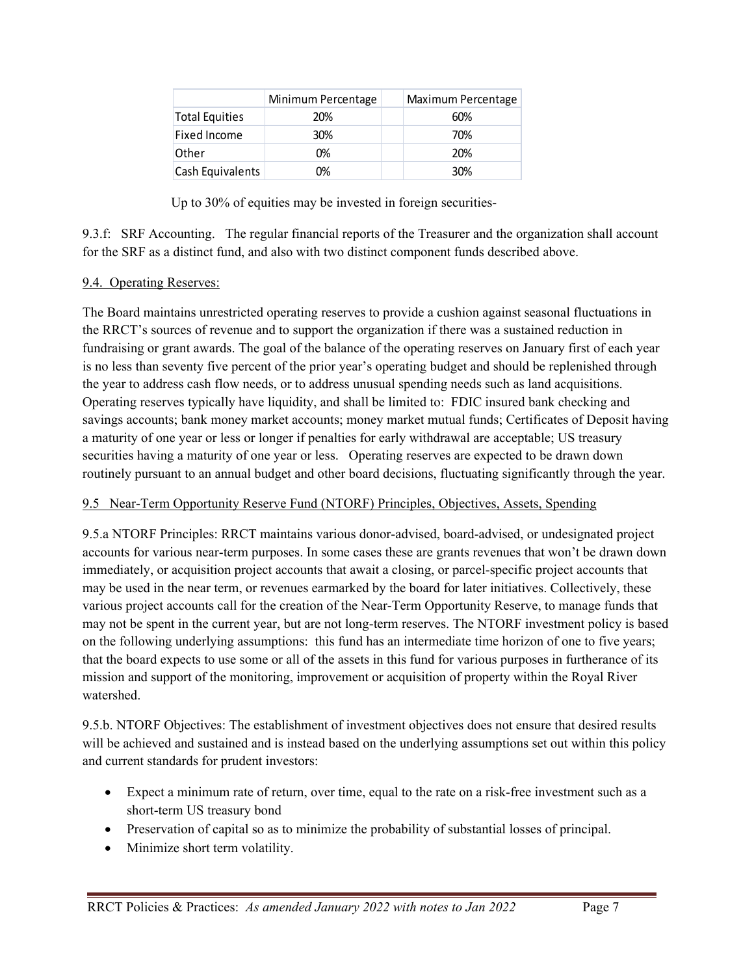|                       | Minimum Percentage | Maximum Percentage |
|-----------------------|--------------------|--------------------|
| <b>Total Equities</b> | 20%                | 60%                |
| Fixed Income          | 30%                | 70%                |
| Other                 | 0%                 | 20%                |
| Cash Equivalents      | 0%                 | 30%                |

Up to 30% of equities may be invested in foreign securities-

9.3.f: SRF Accounting. The regular financial reports of the Treasurer and the organization shall account for the SRF as a distinct fund, and also with two distinct component funds described above.

# 9.4. Operating Reserves:

The Board maintains unrestricted operating reserves to provide a cushion against seasonal fluctuations in the RRCT's sources of revenue and to support the organization if there was a sustained reduction in fundraising or grant awards. The goal of the balance of the operating reserves on January first of each year is no less than seventy five percent of the prior year's operating budget and should be replenished through the year to address cash flow needs, or to address unusual spending needs such as land acquisitions. Operating reserves typically have liquidity, and shall be limited to: FDIC insured bank checking and savings accounts; bank money market accounts; money market mutual funds; Certificates of Deposit having a maturity of one year or less or longer if penalties for early withdrawal are acceptable; US treasury securities having a maturity of one year or less. Operating reserves are expected to be drawn down routinely pursuant to an annual budget and other board decisions, fluctuating significantly through the year.

# 9.5 Near-Term Opportunity Reserve Fund (NTORF) Principles, Objectives, Assets, Spending

9.5.a NTORF Principles: RRCT maintains various donor-advised, board-advised, or undesignated project accounts for various near-term purposes. In some cases these are grants revenues that won't be drawn down immediately, or acquisition project accounts that await a closing, or parcel-specific project accounts that may be used in the near term, or revenues earmarked by the board for later initiatives. Collectively, these various project accounts call for the creation of the Near-Term Opportunity Reserve, to manage funds that may not be spent in the current year, but are not long-term reserves. The NTORF investment policy is based on the following underlying assumptions: this fund has an intermediate time horizon of one to five years; that the board expects to use some or all of the assets in this fund for various purposes in furtherance of its mission and support of the monitoring, improvement or acquisition of property within the Royal River watershed.

9.5.b. NTORF Objectives: The establishment of investment objectives does not ensure that desired results will be achieved and sustained and is instead based on the underlying assumptions set out within this policy and current standards for prudent investors:

- Expect a minimum rate of return, over time, equal to the rate on a risk-free investment such as a short-term US treasury bond
- Preservation of capital so as to minimize the probability of substantial losses of principal.
- Minimize short term volatility.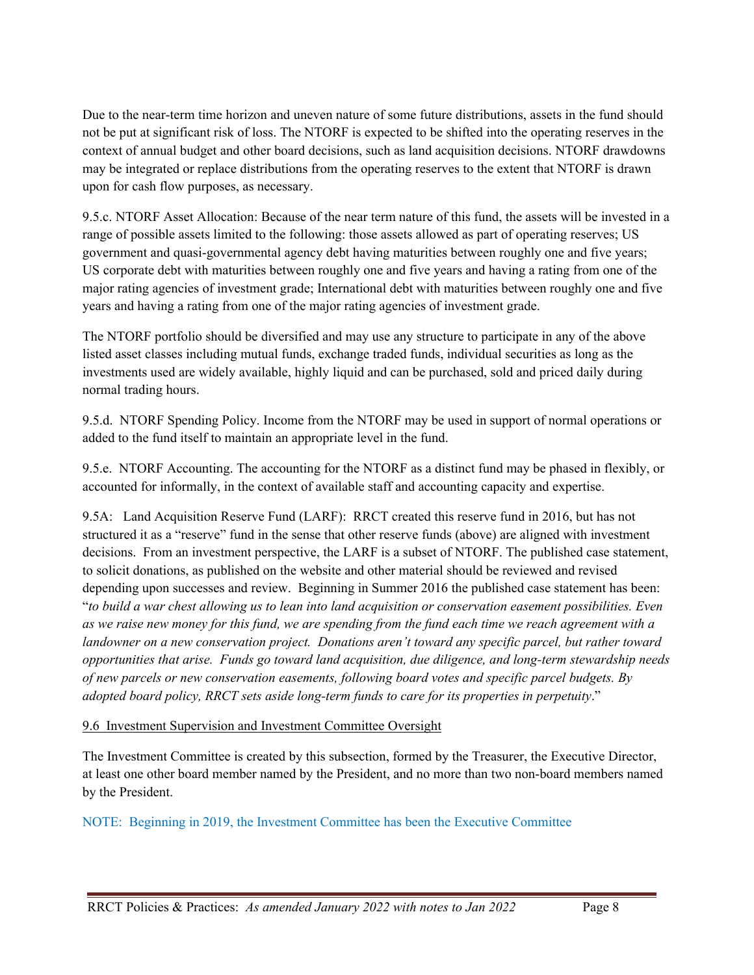Due to the near-term time horizon and uneven nature of some future distributions, assets in the fund should not be put at significant risk of loss. The NTORF is expected to be shifted into the operating reserves in the context of annual budget and other board decisions, such as land acquisition decisions. NTORF drawdowns may be integrated or replace distributions from the operating reserves to the extent that NTORF is drawn upon for cash flow purposes, as necessary.

9.5.c. NTORF Asset Allocation: Because of the near term nature of this fund, the assets will be invested in a range of possible assets limited to the following: those assets allowed as part of operating reserves; US government and quasi-governmental agency debt having maturities between roughly one and five years; US corporate debt with maturities between roughly one and five years and having a rating from one of the major rating agencies of investment grade; International debt with maturities between roughly one and five years and having a rating from one of the major rating agencies of investment grade.

The NTORF portfolio should be diversified and may use any structure to participate in any of the above listed asset classes including mutual funds, exchange traded funds, individual securities as long as the investments used are widely available, highly liquid and can be purchased, sold and priced daily during normal trading hours.

9.5.d. NTORF Spending Policy. Income from the NTORF may be used in support of normal operations or added to the fund itself to maintain an appropriate level in the fund.

9.5.e. NTORF Accounting. The accounting for the NTORF as a distinct fund may be phased in flexibly, or accounted for informally, in the context of available staff and accounting capacity and expertise.

9.5A: Land Acquisition Reserve Fund (LARF): RRCT created this reserve fund in 2016, but has not structured it as a "reserve" fund in the sense that other reserve funds (above) are aligned with investment decisions. From an investment perspective, the LARF is a subset of NTORF. The published case statement, to solicit donations, as published on the website and other material should be reviewed and revised depending upon successes and review. Beginning in Summer 2016 the published case statement has been: "*to build a war chest allowing us to lean into land acquisition or conservation easement possibilities. Even as we raise new money for this fund, we are spending from the fund each time we reach agreement with a landowner on a new conservation project. Donations aren't toward any specific parcel, but rather toward opportunities that arise. Funds go toward land acquisition, due diligence, and long-term stewardship needs of new parcels or new conservation easements, following board votes and specific parcel budgets. By adopted board policy, RRCT sets aside long-term funds to care for its properties in perpetuity*."

#### 9.6 Investment Supervision and Investment Committee Oversight

The Investment Committee is created by this subsection, formed by the Treasurer, the Executive Director, at least one other board member named by the President, and no more than two non-board members named by the President.

NOTE: Beginning in 2019, the Investment Committee has been the Executive Committee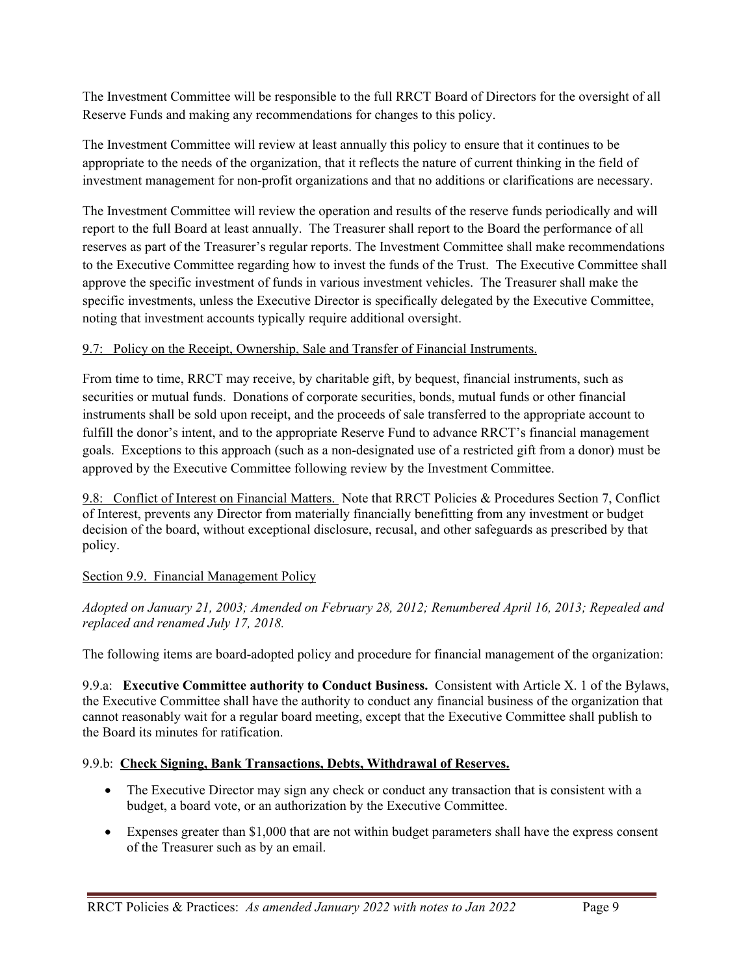The Investment Committee will be responsible to the full RRCT Board of Directors for the oversight of all Reserve Funds and making any recommendations for changes to this policy.

The Investment Committee will review at least annually this policy to ensure that it continues to be appropriate to the needs of the organization, that it reflects the nature of current thinking in the field of investment management for non-profit organizations and that no additions or clarifications are necessary.

The Investment Committee will review the operation and results of the reserve funds periodically and will report to the full Board at least annually. The Treasurer shall report to the Board the performance of all reserves as part of the Treasurer's regular reports. The Investment Committee shall make recommendations to the Executive Committee regarding how to invest the funds of the Trust. The Executive Committee shall approve the specific investment of funds in various investment vehicles. The Treasurer shall make the specific investments, unless the Executive Director is specifically delegated by the Executive Committee, noting that investment accounts typically require additional oversight.

# 9.7: Policy on the Receipt, Ownership, Sale and Transfer of Financial Instruments.

From time to time, RRCT may receive, by charitable gift, by bequest, financial instruments, such as securities or mutual funds. Donations of corporate securities, bonds, mutual funds or other financial instruments shall be sold upon receipt, and the proceeds of sale transferred to the appropriate account to fulfill the donor's intent, and to the appropriate Reserve Fund to advance RRCT's financial management goals. Exceptions to this approach (such as a non-designated use of a restricted gift from a donor) must be approved by the Executive Committee following review by the Investment Committee.

9.8: Conflict of Interest on Financial Matters. Note that RRCT Policies & Procedures Section 7, Conflict of Interest, prevents any Director from materially financially benefitting from any investment or budget decision of the board, without exceptional disclosure, recusal, and other safeguards as prescribed by that policy.

# Section 9.9. Financial Management Policy

*Adopted on January 21, 2003; Amended on February 28, 2012; Renumbered April 16, 2013; Repealed and replaced and renamed July 17, 2018.* 

The following items are board-adopted policy and procedure for financial management of the organization:

9.9.a: **Executive Committee authority to Conduct Business.** Consistent with Article X. 1 of the Bylaws, the Executive Committee shall have the authority to conduct any financial business of the organization that cannot reasonably wait for a regular board meeting, except that the Executive Committee shall publish to the Board its minutes for ratification.

# 9.9.b: **Check Signing, Bank Transactions, Debts, Withdrawal of Reserves.**

- The Executive Director may sign any check or conduct any transaction that is consistent with a budget, a board vote, or an authorization by the Executive Committee.
- Expenses greater than \$1,000 that are not within budget parameters shall have the express consent of the Treasurer such as by an email.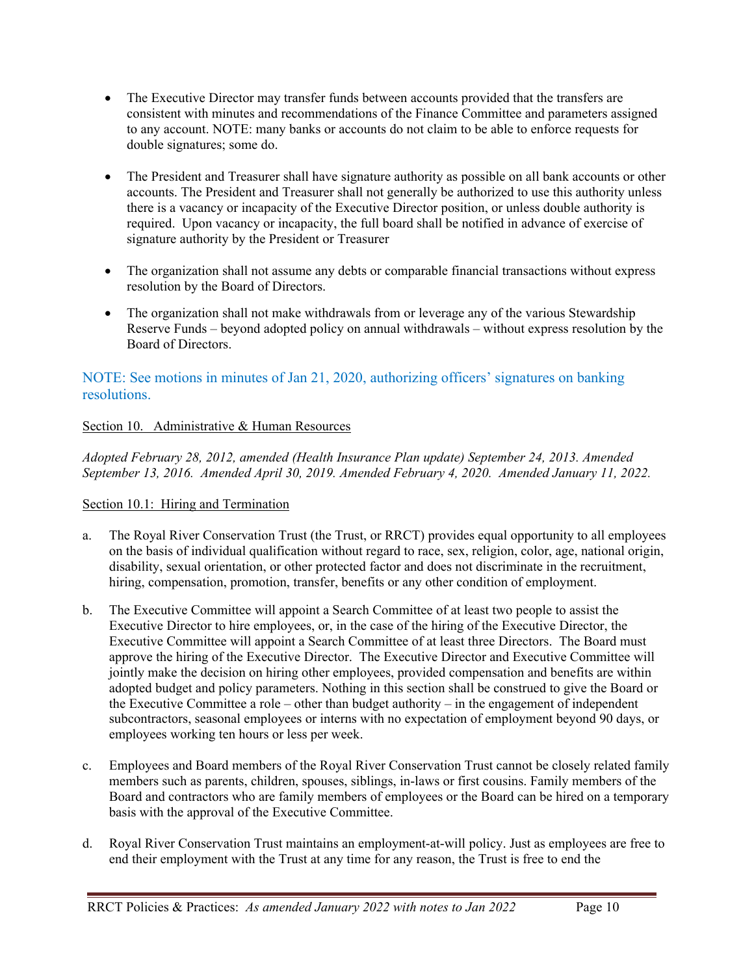- The Executive Director may transfer funds between accounts provided that the transfers are consistent with minutes and recommendations of the Finance Committee and parameters assigned to any account. NOTE: many banks or accounts do not claim to be able to enforce requests for double signatures; some do.
- The President and Treasurer shall have signature authority as possible on all bank accounts or other accounts. The President and Treasurer shall not generally be authorized to use this authority unless there is a vacancy or incapacity of the Executive Director position, or unless double authority is required. Upon vacancy or incapacity, the full board shall be notified in advance of exercise of signature authority by the President or Treasurer
- The organization shall not assume any debts or comparable financial transactions without express resolution by the Board of Directors.
- The organization shall not make withdrawals from or leverage any of the various Stewardship Reserve Funds – beyond adopted policy on annual withdrawals – without express resolution by the Board of Directors.

# NOTE: See motions in minutes of Jan 21, 2020, authorizing officers' signatures on banking resolutions.

# Section 10. Administrative & Human Resources

*Adopted February 28, 2012, amended (Health Insurance Plan update) September 24, 2013. Amended September 13, 2016. Amended April 30, 2019. Amended February 4, 2020. Amended January 11, 2022.*

# Section 10.1: Hiring and Termination

- a. The Royal River Conservation Trust (the Trust, or RRCT) provides equal opportunity to all employees on the basis of individual qualification without regard to race, sex, religion, color, age, national origin, disability, sexual orientation, or other protected factor and does not discriminate in the recruitment, hiring, compensation, promotion, transfer, benefits or any other condition of employment.
- b. The Executive Committee will appoint a Search Committee of at least two people to assist the Executive Director to hire employees, or, in the case of the hiring of the Executive Director, the Executive Committee will appoint a Search Committee of at least three Directors. The Board must approve the hiring of the Executive Director. The Executive Director and Executive Committee will jointly make the decision on hiring other employees, provided compensation and benefits are within adopted budget and policy parameters. Nothing in this section shall be construed to give the Board or the Executive Committee a role – other than budget authority – in the engagement of independent subcontractors, seasonal employees or interns with no expectation of employment beyond 90 days, or employees working ten hours or less per week.
- c. Employees and Board members of the Royal River Conservation Trust cannot be closely related family members such as parents, children, spouses, siblings, in-laws or first cousins. Family members of the Board and contractors who are family members of employees or the Board can be hired on a temporary basis with the approval of the Executive Committee.
- d. Royal River Conservation Trust maintains an employment-at-will policy. Just as employees are free to end their employment with the Trust at any time for any reason, the Trust is free to end the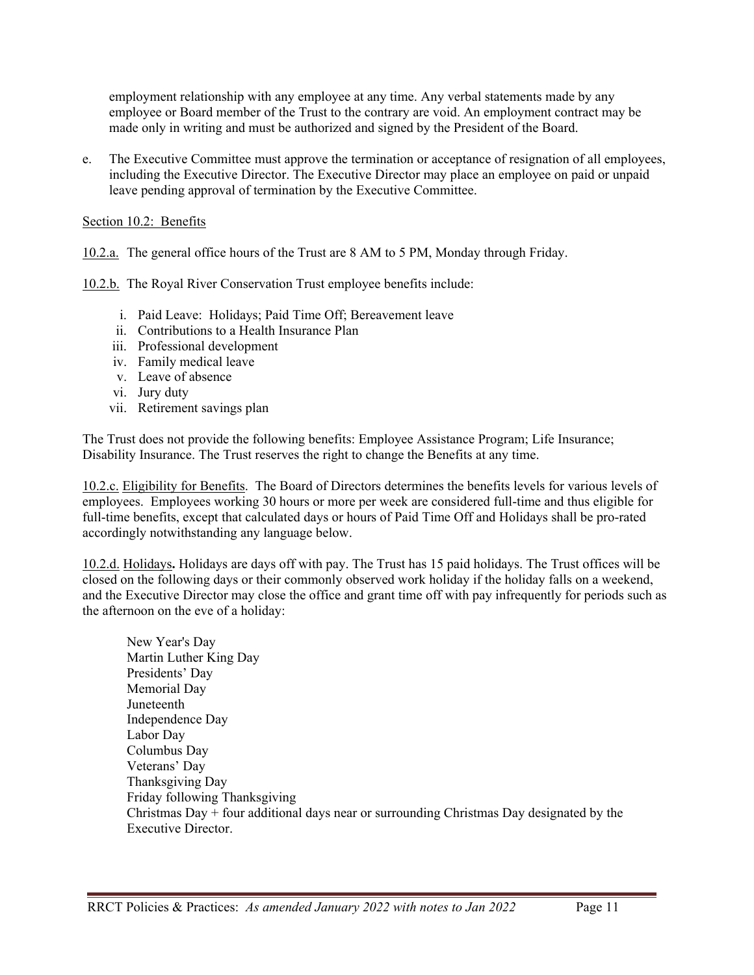employment relationship with any employee at any time. Any verbal statements made by any employee or Board member of the Trust to the contrary are void. An employment contract may be made only in writing and must be authorized and signed by the President of the Board.

e. The Executive Committee must approve the termination or acceptance of resignation of all employees, including the Executive Director. The Executive Director may place an employee on paid or unpaid leave pending approval of termination by the Executive Committee.

Section 10.2: Benefits

10.2.a. The general office hours of the Trust are 8 AM to 5 PM, Monday through Friday.

10.2.b. The Royal River Conservation Trust employee benefits include:

- i. Paid Leave: Holidays; Paid Time Off; Bereavement leave
- ii. Contributions to a Health Insurance Plan
- iii. Professional development
- iv. Family medical leave
- v. Leave of absence
- vi. Jury duty
- vii. Retirement savings plan

The Trust does not provide the following benefits: Employee Assistance Program; Life Insurance; Disability Insurance. The Trust reserves the right to change the Benefits at any time.

10.2.c. Eligibility for Benefits.The Board of Directors determines the benefits levels for various levels of employees. Employees working 30 hours or more per week are considered full-time and thus eligible for full-time benefits, except that calculated days or hours of Paid Time Off and Holidays shall be pro-rated accordingly notwithstanding any language below.

10.2.d. Holidays**.** Holidays are days off with pay. The Trust has 15 paid holidays. The Trust offices will be closed on the following days or their commonly observed work holiday if the holiday falls on a weekend, and the Executive Director may close the office and grant time off with pay infrequently for periods such as the afternoon on the eve of a holiday:

New Year's Day Martin Luther King Day Presidents' Day Memorial Day Juneteenth Independence Day Labor Day Columbus Day Veterans' Day Thanksgiving Day Friday following Thanksgiving Christmas  $Day + four additional days near or surrounding Christmas Day designated by the$ Executive Director.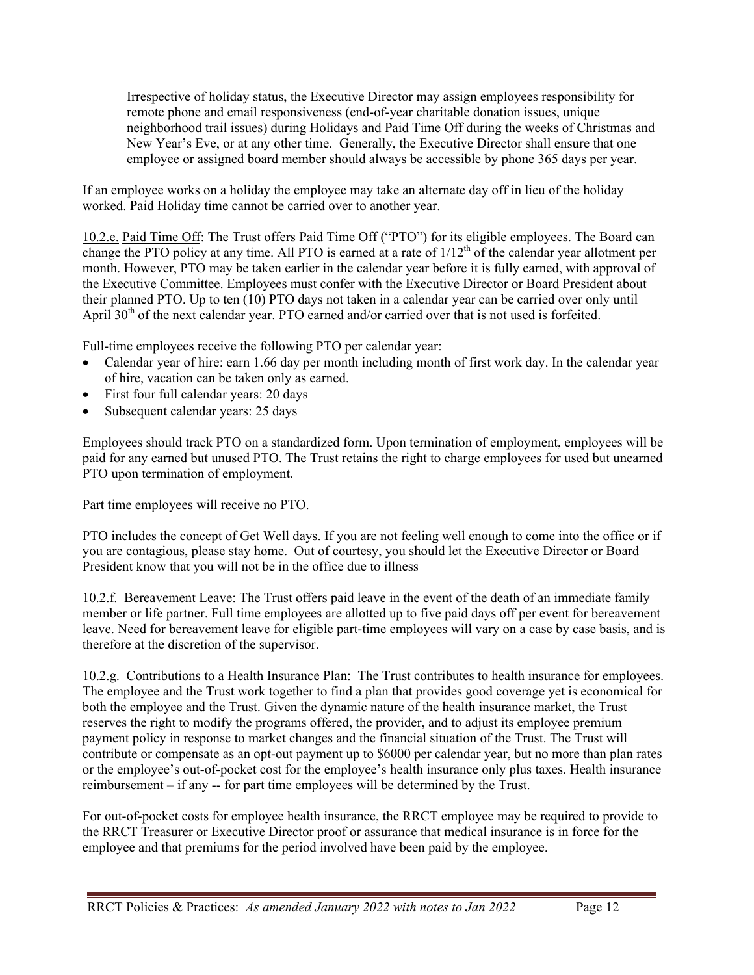Irrespective of holiday status, the Executive Director may assign employees responsibility for remote phone and email responsiveness (end-of-year charitable donation issues, unique neighborhood trail issues) during Holidays and Paid Time Off during the weeks of Christmas and New Year's Eve, or at any other time. Generally, the Executive Director shall ensure that one employee or assigned board member should always be accessible by phone 365 days per year.

If an employee works on a holiday the employee may take an alternate day off in lieu of the holiday worked. Paid Holiday time cannot be carried over to another year.

10.2.e. Paid Time Off: The Trust offers Paid Time Off ("PTO") for its eligible employees. The Board can change the PTO policy at any time. All PTO is earned at a rate of  $1/12<sup>th</sup>$  of the calendar year allotment per month. However, PTO may be taken earlier in the calendar year before it is fully earned, with approval of the Executive Committee. Employees must confer with the Executive Director or Board President about their planned PTO. Up to ten (10) PTO days not taken in a calendar year can be carried over only until April  $30<sup>th</sup>$  of the next calendar year. PTO earned and/or carried over that is not used is forfeited.

Full-time employees receive the following PTO per calendar year:

- Calendar year of hire: earn 1.66 day per month including month of first work day. In the calendar year of hire, vacation can be taken only as earned.
- First four full calendar years: 20 days
- Subsequent calendar years: 25 days

Employees should track PTO on a standardized form. Upon termination of employment, employees will be paid for any earned but unused PTO. The Trust retains the right to charge employees for used but unearned PTO upon termination of employment.

Part time employees will receive no PTO.

PTO includes the concept of Get Well days. If you are not feeling well enough to come into the office or if you are contagious, please stay home. Out of courtesy, you should let the Executive Director or Board President know that you will not be in the office due to illness

10.2.f. Bereavement Leave: The Trust offers paid leave in the event of the death of an immediate family member or life partner. Full time employees are allotted up to five paid days off per event for bereavement leave. Need for bereavement leave for eligible part-time employees will vary on a case by case basis, and is therefore at the discretion of the supervisor.

10.2.g. Contributions to a Health Insurance Plan: The Trust contributes to health insurance for employees. The employee and the Trust work together to find a plan that provides good coverage yet is economical for both the employee and the Trust. Given the dynamic nature of the health insurance market, the Trust reserves the right to modify the programs offered, the provider, and to adjust its employee premium payment policy in response to market changes and the financial situation of the Trust. The Trust will contribute or compensate as an opt-out payment up to \$6000 per calendar year, but no more than plan rates or the employee's out-of-pocket cost for the employee's health insurance only plus taxes. Health insurance reimbursement – if any -- for part time employees will be determined by the Trust.

For out-of-pocket costs for employee health insurance, the RRCT employee may be required to provide to the RRCT Treasurer or Executive Director proof or assurance that medical insurance is in force for the employee and that premiums for the period involved have been paid by the employee.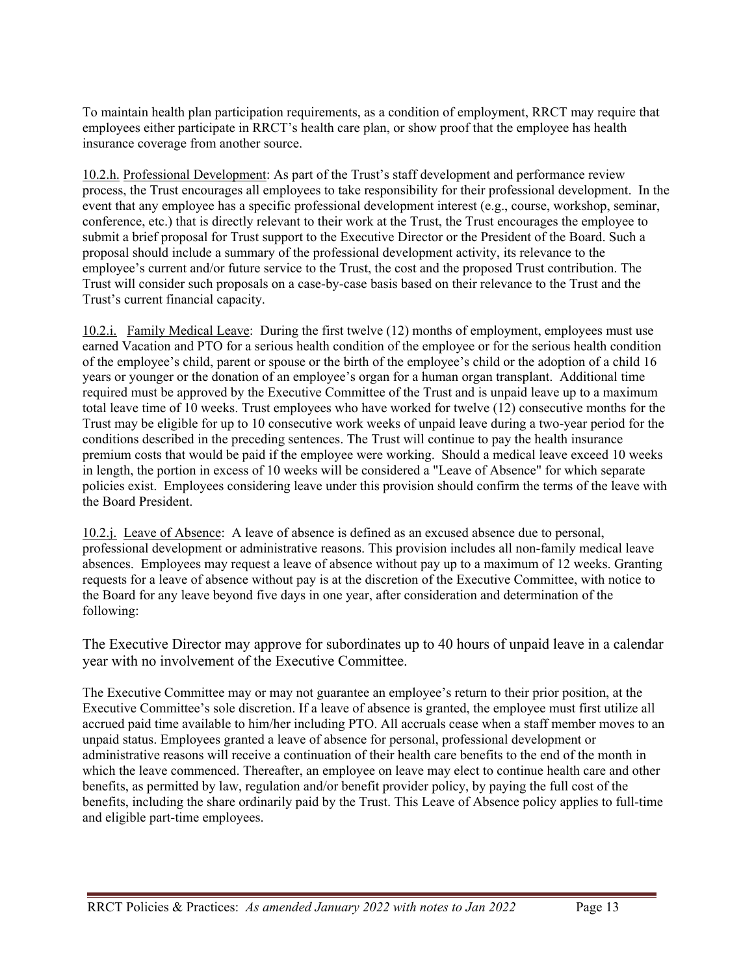To maintain health plan participation requirements, as a condition of employment, RRCT may require that employees either participate in RRCT's health care plan, or show proof that the employee has health insurance coverage from another source.

10.2.h. Professional Development: As part of the Trust's staff development and performance review process, the Trust encourages all employees to take responsibility for their professional development. In the event that any employee has a specific professional development interest (e.g., course, workshop, seminar, conference, etc.) that is directly relevant to their work at the Trust, the Trust encourages the employee to submit a brief proposal for Trust support to the Executive Director or the President of the Board. Such a proposal should include a summary of the professional development activity, its relevance to the employee's current and/or future service to the Trust, the cost and the proposed Trust contribution. The Trust will consider such proposals on a case-by-case basis based on their relevance to the Trust and the Trust's current financial capacity.

10.2.i. Family Medical Leave: During the first twelve (12) months of employment, employees must use earned Vacation and PTO for a serious health condition of the employee or for the serious health condition of the employee's child, parent or spouse or the birth of the employee's child or the adoption of a child 16 years or younger or the donation of an employee's organ for a human organ transplant. Additional time required must be approved by the Executive Committee of the Trust and is unpaid leave up to a maximum total leave time of 10 weeks. Trust employees who have worked for twelve (12) consecutive months for the Trust may be eligible for up to 10 consecutive work weeks of unpaid leave during a two-year period for the conditions described in the preceding sentences. The Trust will continue to pay the health insurance premium costs that would be paid if the employee were working. Should a medical leave exceed 10 weeks in length, the portion in excess of 10 weeks will be considered a "Leave of Absence" for which separate policies exist. Employees considering leave under this provision should confirm the terms of the leave with the Board President.

10.2.j. Leave of Absence: A leave of absence is defined as an excused absence due to personal, professional development or administrative reasons. This provision includes all non-family medical leave absences. Employees may request a leave of absence without pay up to a maximum of 12 weeks. Granting requests for a leave of absence without pay is at the discretion of the Executive Committee, with notice to the Board for any leave beyond five days in one year, after consideration and determination of the following:

The Executive Director may approve for subordinates up to 40 hours of unpaid leave in a calendar year with no involvement of the Executive Committee.

The Executive Committee may or may not guarantee an employee's return to their prior position, at the Executive Committee's sole discretion. If a leave of absence is granted, the employee must first utilize all accrued paid time available to him/her including PTO. All accruals cease when a staff member moves to an unpaid status. Employees granted a leave of absence for personal, professional development or administrative reasons will receive a continuation of their health care benefits to the end of the month in which the leave commenced. Thereafter, an employee on leave may elect to continue health care and other benefits, as permitted by law, regulation and/or benefit provider policy, by paying the full cost of the benefits, including the share ordinarily paid by the Trust. This Leave of Absence policy applies to full-time and eligible part-time employees.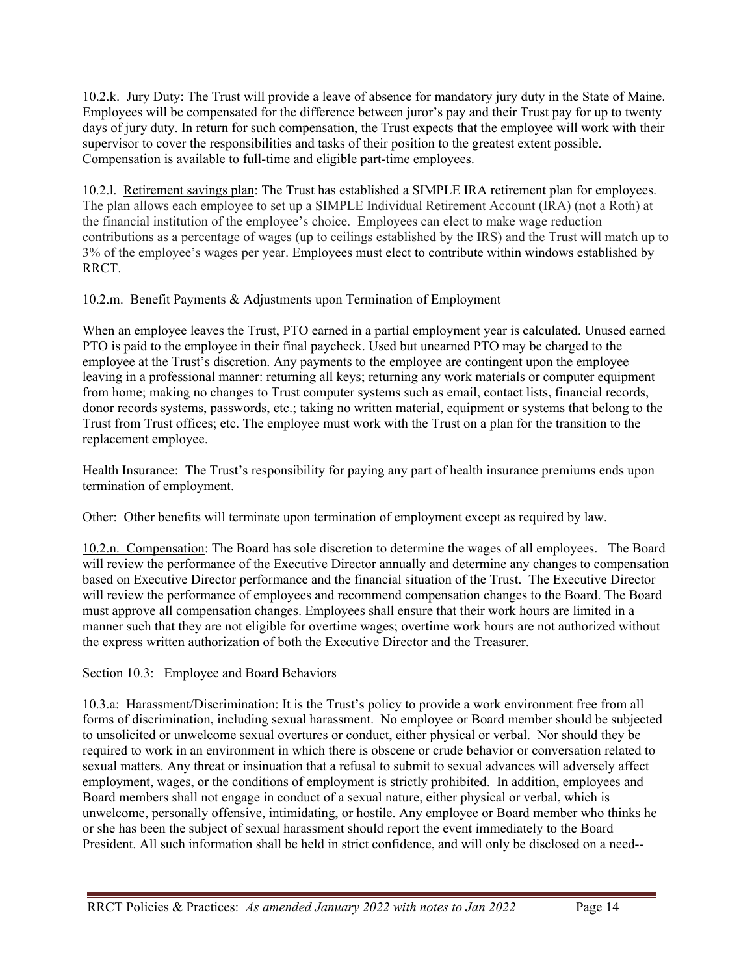10.2.k. Jury Duty: The Trust will provide a leave of absence for mandatory jury duty in the State of Maine. Employees will be compensated for the difference between juror's pay and their Trust pay for up to twenty days of jury duty. In return for such compensation, the Trust expects that the employee will work with their supervisor to cover the responsibilities and tasks of their position to the greatest extent possible. Compensation is available to full-time and eligible part-time employees.

10.2.l. Retirement savings plan: The Trust has established a SIMPLE IRA retirement plan for employees. The plan allows each employee to set up a SIMPLE Individual Retirement Account (IRA) (not a Roth) at the financial institution of the employee's choice. Employees can elect to make wage reduction contributions as a percentage of wages (up to ceilings established by the IRS) and the Trust will match up to 3% of the employee's wages per year. Employees must elect to contribute within windows established by RRCT.

# 10.2.m. Benefit Payments & Adjustments upon Termination of Employment

When an employee leaves the Trust, PTO earned in a partial employment year is calculated. Unused earned PTO is paid to the employee in their final paycheck. Used but unearned PTO may be charged to the employee at the Trust's discretion. Any payments to the employee are contingent upon the employee leaving in a professional manner: returning all keys; returning any work materials or computer equipment from home; making no changes to Trust computer systems such as email, contact lists, financial records, donor records systems, passwords, etc.; taking no written material, equipment or systems that belong to the Trust from Trust offices; etc. The employee must work with the Trust on a plan for the transition to the replacement employee.

Health Insurance: The Trust's responsibility for paying any part of health insurance premiums ends upon termination of employment.

Other: Other benefits will terminate upon termination of employment except as required by law.

10.2.n. Compensation: The Board has sole discretion to determine the wages of all employees. The Board will review the performance of the Executive Director annually and determine any changes to compensation based on Executive Director performance and the financial situation of the Trust. The Executive Director will review the performance of employees and recommend compensation changes to the Board. The Board must approve all compensation changes. Employees shall ensure that their work hours are limited in a manner such that they are not eligible for overtime wages; overtime work hours are not authorized without the express written authorization of both the Executive Director and the Treasurer.

# Section 10.3: Employee and Board Behaviors

10.3.a: Harassment/Discrimination: It is the Trust's policy to provide a work environment free from all forms of discrimination, including sexual harassment. No employee or Board member should be subjected to unsolicited or unwelcome sexual overtures or conduct, either physical or verbal. Nor should they be required to work in an environment in which there is obscene or crude behavior or conversation related to sexual matters. Any threat or insinuation that a refusal to submit to sexual advances will adversely affect employment, wages, or the conditions of employment is strictly prohibited. In addition, employees and Board members shall not engage in conduct of a sexual nature, either physical or verbal, which is unwelcome, personally offensive, intimidating, or hostile. Any employee or Board member who thinks he or she has been the subject of sexual harassment should report the event immediately to the Board President. All such information shall be held in strict confidence, and will only be disclosed on a need--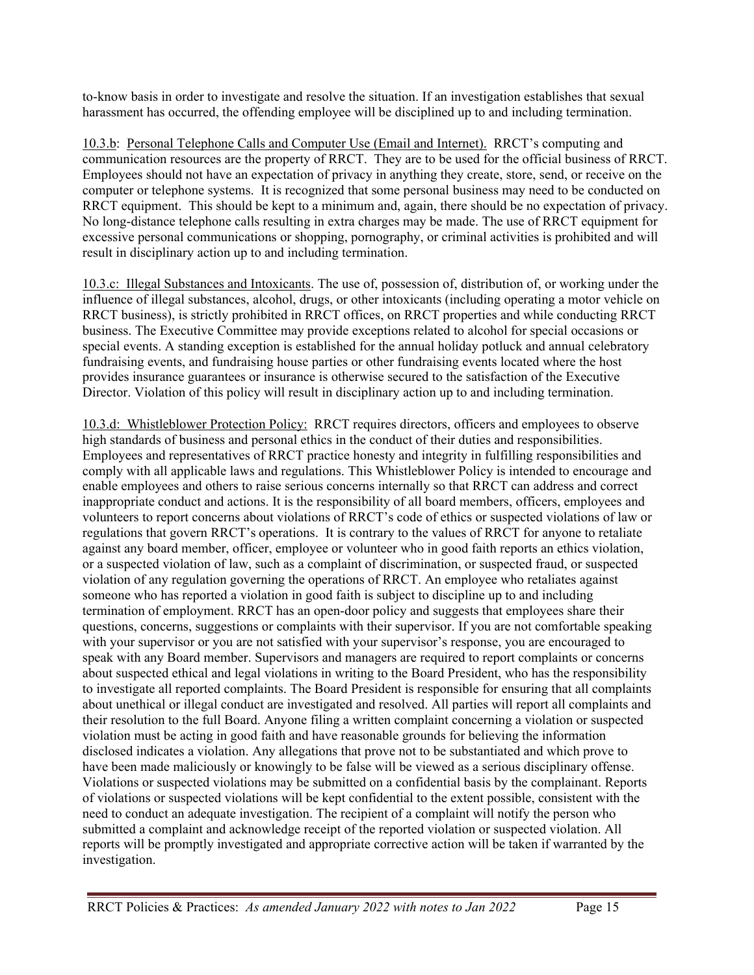to-know basis in order to investigate and resolve the situation. If an investigation establishes that sexual harassment has occurred, the offending employee will be disciplined up to and including termination.

10.3.b: Personal Telephone Calls and Computer Use (Email and Internet). RRCT's computing and communication resources are the property of RRCT. They are to be used for the official business of RRCT. Employees should not have an expectation of privacy in anything they create, store, send, or receive on the computer or telephone systems. It is recognized that some personal business may need to be conducted on RRCT equipment. This should be kept to a minimum and, again, there should be no expectation of privacy. No long-distance telephone calls resulting in extra charges may be made. The use of RRCT equipment for excessive personal communications or shopping, pornography, or criminal activities is prohibited and will result in disciplinary action up to and including termination.

10.3.c: Illegal Substances and Intoxicants. The use of, possession of, distribution of, or working under the influence of illegal substances, alcohol, drugs, or other intoxicants (including operating a motor vehicle on RRCT business), is strictly prohibited in RRCT offices, on RRCT properties and while conducting RRCT business. The Executive Committee may provide exceptions related to alcohol for special occasions or special events. A standing exception is established for the annual holiday potluck and annual celebratory fundraising events, and fundraising house parties or other fundraising events located where the host provides insurance guarantees or insurance is otherwise secured to the satisfaction of the Executive Director. Violation of this policy will result in disciplinary action up to and including termination.

10.3.d: Whistleblower Protection Policy: RRCT requires directors, officers and employees to observe high standards of business and personal ethics in the conduct of their duties and responsibilities. Employees and representatives of RRCT practice honesty and integrity in fulfilling responsibilities and comply with all applicable laws and regulations. This Whistleblower Policy is intended to encourage and enable employees and others to raise serious concerns internally so that RRCT can address and correct inappropriate conduct and actions. It is the responsibility of all board members, officers, employees and volunteers to report concerns about violations of RRCT's code of ethics or suspected violations of law or regulations that govern RRCT's operations. It is contrary to the values of RRCT for anyone to retaliate against any board member, officer, employee or volunteer who in good faith reports an ethics violation, or a suspected violation of law, such as a complaint of discrimination, or suspected fraud, or suspected violation of any regulation governing the operations of RRCT. An employee who retaliates against someone who has reported a violation in good faith is subject to discipline up to and including termination of employment. RRCT has an open-door policy and suggests that employees share their questions, concerns, suggestions or complaints with their supervisor. If you are not comfortable speaking with your supervisor or you are not satisfied with your supervisor's response, you are encouraged to speak with any Board member. Supervisors and managers are required to report complaints or concerns about suspected ethical and legal violations in writing to the Board President, who has the responsibility to investigate all reported complaints. The Board President is responsible for ensuring that all complaints about unethical or illegal conduct are investigated and resolved. All parties will report all complaints and their resolution to the full Board. Anyone filing a written complaint concerning a violation or suspected violation must be acting in good faith and have reasonable grounds for believing the information disclosed indicates a violation. Any allegations that prove not to be substantiated and which prove to have been made maliciously or knowingly to be false will be viewed as a serious disciplinary offense. Violations or suspected violations may be submitted on a confidential basis by the complainant. Reports of violations or suspected violations will be kept confidential to the extent possible, consistent with the need to conduct an adequate investigation. The recipient of a complaint will notify the person who submitted a complaint and acknowledge receipt of the reported violation or suspected violation. All reports will be promptly investigated and appropriate corrective action will be taken if warranted by the investigation.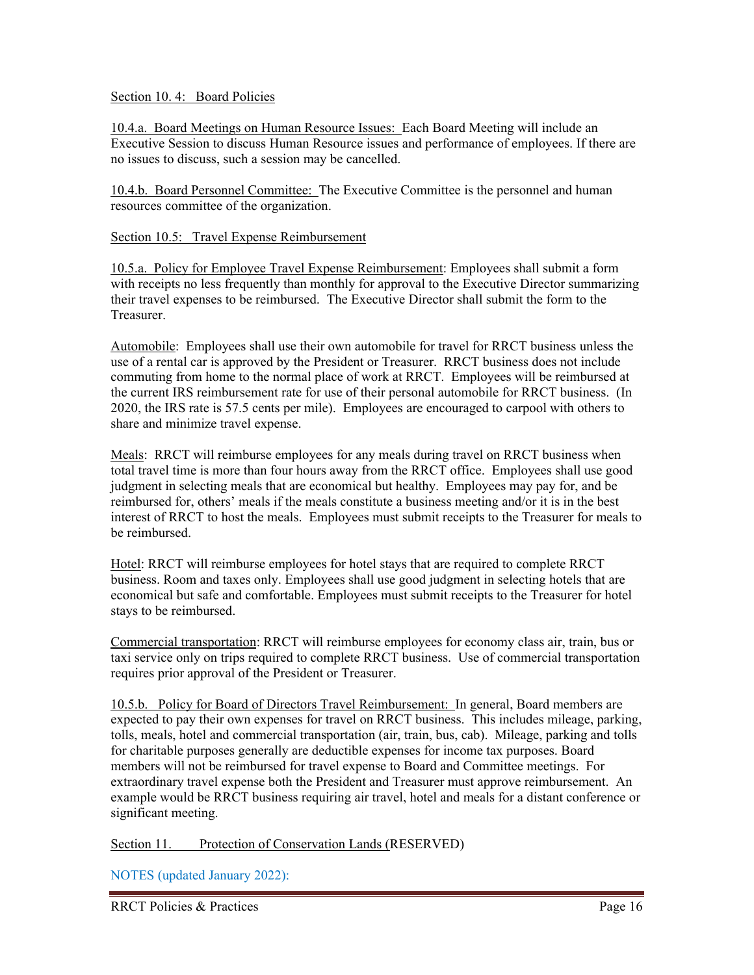#### Section 10. 4: Board Policies

10.4.a. Board Meetings on Human Resource Issues: Each Board Meeting will include an Executive Session to discuss Human Resource issues and performance of employees. If there are no issues to discuss, such a session may be cancelled.

10.4.b. Board Personnel Committee: The Executive Committee is the personnel and human resources committee of the organization.

#### Section 10.5: Travel Expense Reimbursement

10.5.a. Policy for Employee Travel Expense Reimbursement: Employees shall submit a form with receipts no less frequently than monthly for approval to the Executive Director summarizing their travel expenses to be reimbursed. The Executive Director shall submit the form to the Treasurer.

Automobile: Employees shall use their own automobile for travel for RRCT business unless the use of a rental car is approved by the President or Treasurer. RRCT business does not include commuting from home to the normal place of work at RRCT. Employees will be reimbursed at the current IRS reimbursement rate for use of their personal automobile for RRCT business. (In 2020, the IRS rate is 57.5 cents per mile). Employees are encouraged to carpool with others to share and minimize travel expense.

Meals: RRCT will reimburse employees for any meals during travel on RRCT business when total travel time is more than four hours away from the RRCT office. Employees shall use good judgment in selecting meals that are economical but healthy. Employees may pay for, and be reimbursed for, others' meals if the meals constitute a business meeting and/or it is in the best interest of RRCT to host the meals. Employees must submit receipts to the Treasurer for meals to be reimbursed.

Hotel: RRCT will reimburse employees for hotel stays that are required to complete RRCT business. Room and taxes only. Employees shall use good judgment in selecting hotels that are economical but safe and comfortable. Employees must submit receipts to the Treasurer for hotel stays to be reimbursed.

Commercial transportation: RRCT will reimburse employees for economy class air, train, bus or taxi service only on trips required to complete RRCT business. Use of commercial transportation requires prior approval of the President or Treasurer.

10.5.b. Policy for Board of Directors Travel Reimbursement: In general, Board members are expected to pay their own expenses for travel on RRCT business. This includes mileage, parking, tolls, meals, hotel and commercial transportation (air, train, bus, cab). Mileage, parking and tolls for charitable purposes generally are deductible expenses for income tax purposes. Board members will not be reimbursed for travel expense to Board and Committee meetings. For extraordinary travel expense both the President and Treasurer must approve reimbursement. An example would be RRCT business requiring air travel, hotel and meals for a distant conference or significant meeting.

Section 11. Protection of Conservation Lands (RESERVED)

NOTES (updated January 2022):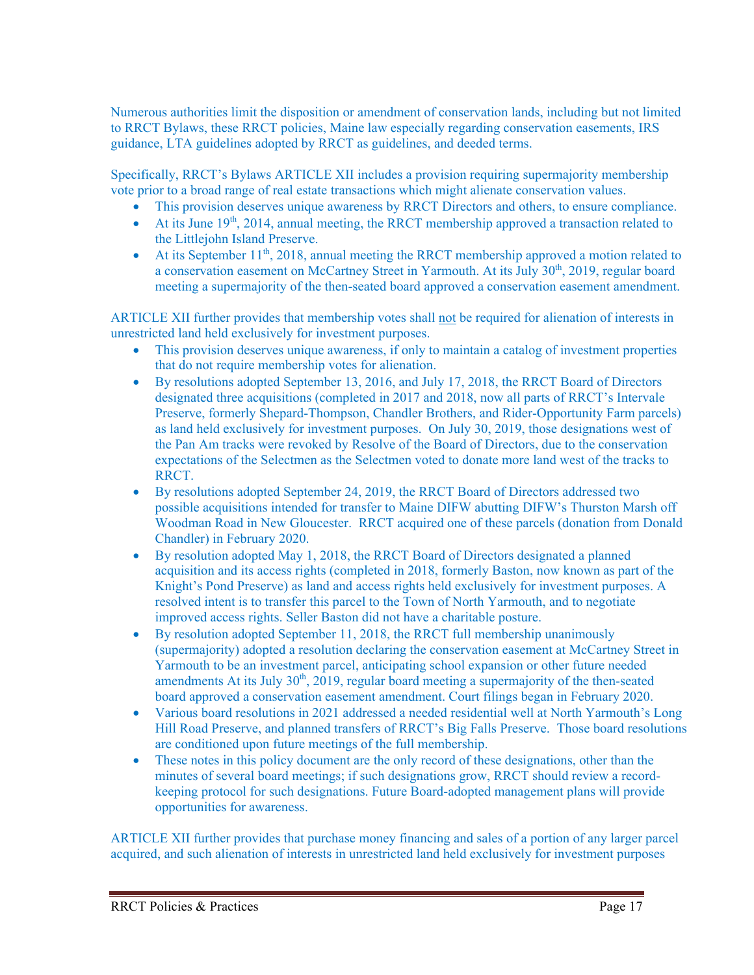Numerous authorities limit the disposition or amendment of conservation lands, including but not limited to RRCT Bylaws, these RRCT policies, Maine law especially regarding conservation easements, IRS guidance, LTA guidelines adopted by RRCT as guidelines, and deeded terms.

Specifically, RRCT's Bylaws ARTICLE XII includes a provision requiring supermajority membership vote prior to a broad range of real estate transactions which might alienate conservation values.

- This provision deserves unique awareness by RRCT Directors and others, to ensure compliance.
- $\bullet$  At its June 19<sup>th</sup>, 2014, annual meeting, the RRCT membership approved a transaction related to the Littlejohn Island Preserve.
- At its September  $11<sup>th</sup>$ , 2018, annual meeting the RRCT membership approved a motion related to a conservation easement on McCartney Street in Yarmouth. At its July 30<sup>th</sup>, 2019, regular board meeting a supermajority of the then-seated board approved a conservation easement amendment.

ARTICLE XII further provides that membership votes shall not be required for alienation of interests in unrestricted land held exclusively for investment purposes.

- This provision deserves unique awareness, if only to maintain a catalog of investment properties that do not require membership votes for alienation.
- By resolutions adopted September 13, 2016, and July 17, 2018, the RRCT Board of Directors designated three acquisitions (completed in 2017 and 2018, now all parts of RRCT's Intervale Preserve, formerly Shepard-Thompson, Chandler Brothers, and Rider-Opportunity Farm parcels) as land held exclusively for investment purposes. On July 30, 2019, those designations west of the Pan Am tracks were revoked by Resolve of the Board of Directors, due to the conservation expectations of the Selectmen as the Selectmen voted to donate more land west of the tracks to RRCT.
- By resolutions adopted September 24, 2019, the RRCT Board of Directors addressed two possible acquisitions intended for transfer to Maine DIFW abutting DIFW's Thurston Marsh off Woodman Road in New Gloucester. RRCT acquired one of these parcels (donation from Donald Chandler) in February 2020.
- By resolution adopted May 1, 2018, the RRCT Board of Directors designated a planned acquisition and its access rights (completed in 2018, formerly Baston, now known as part of the Knight's Pond Preserve) as land and access rights held exclusively for investment purposes. A resolved intent is to transfer this parcel to the Town of North Yarmouth, and to negotiate improved access rights. Seller Baston did not have a charitable posture.
- By resolution adopted September 11, 2018, the RRCT full membership unanimously (supermajority) adopted a resolution declaring the conservation easement at McCartney Street in Yarmouth to be an investment parcel, anticipating school expansion or other future needed amendments At its July  $30<sup>th</sup>$ , 2019, regular board meeting a supermajority of the then-seated board approved a conservation easement amendment. Court filings began in February 2020.
- Various board resolutions in 2021 addressed a needed residential well at North Yarmouth's Long Hill Road Preserve, and planned transfers of RRCT's Big Falls Preserve. Those board resolutions are conditioned upon future meetings of the full membership.
- These notes in this policy document are the only record of these designations, other than the minutes of several board meetings; if such designations grow, RRCT should review a recordkeeping protocol for such designations. Future Board-adopted management plans will provide opportunities for awareness.

ARTICLE XII further provides that purchase money financing and sales of a portion of any larger parcel acquired, and such alienation of interests in unrestricted land held exclusively for investment purposes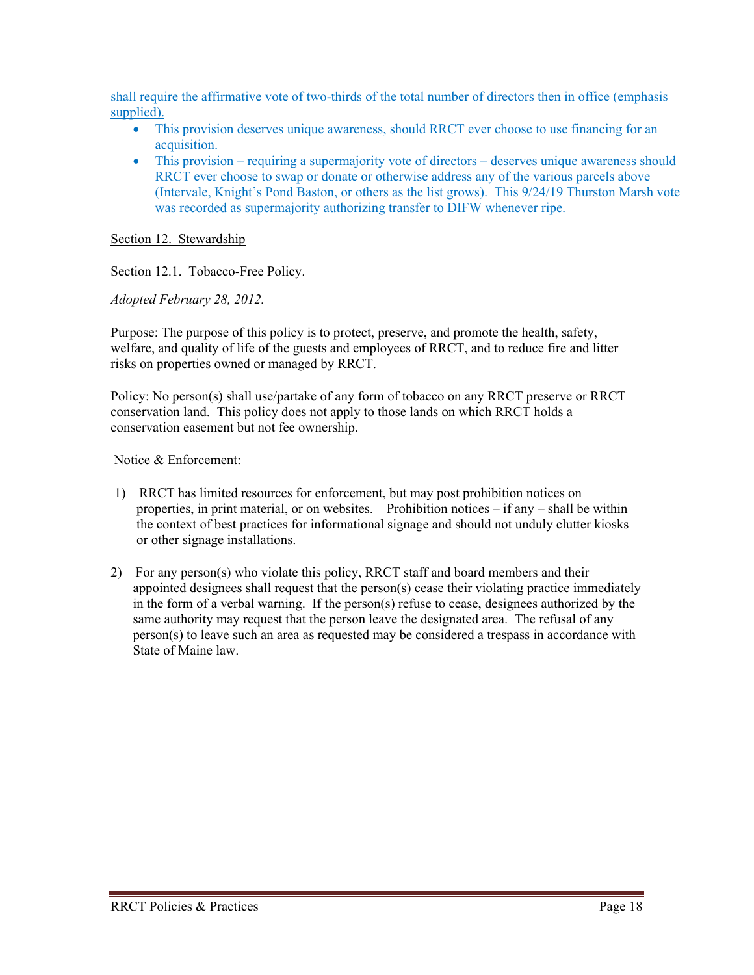shall require the affirmative vote of two-thirds of the total number of directors then in office (emphasis supplied).

- This provision deserves unique awareness, should RRCT ever choose to use financing for an acquisition.
- This provision requiring a supermajority vote of directors deserves unique awareness should RRCT ever choose to swap or donate or otherwise address any of the various parcels above (Intervale, Knight's Pond Baston, or others as the list grows). This 9/24/19 Thurston Marsh vote was recorded as supermajority authorizing transfer to DIFW whenever ripe.

#### Section 12. Stewardship

#### Section 12.1. Tobacco-Free Policy.

*Adopted February 28, 2012.*

Purpose: The purpose of this policy is to protect, preserve, and promote the health, safety, welfare, and quality of life of the guests and employees of RRCT, and to reduce fire and litter risks on properties owned or managed by RRCT.

Policy: No person(s) shall use/partake of any form of tobacco on any RRCT preserve or RRCT conservation land. This policy does not apply to those lands on which RRCT holds a conservation easement but not fee ownership.

Notice & Enforcement:

- 1) RRCT has limited resources for enforcement, but may post prohibition notices on properties, in print material, or on websites. Prohibition notices – if any – shall be within the context of best practices for informational signage and should not unduly clutter kiosks or other signage installations.
- 2) For any person(s) who violate this policy, RRCT staff and board members and their appointed designees shall request that the person(s) cease their violating practice immediately in the form of a verbal warning. If the person(s) refuse to cease, designees authorized by the same authority may request that the person leave the designated area. The refusal of any person(s) to leave such an area as requested may be considered a trespass in accordance with State of Maine law.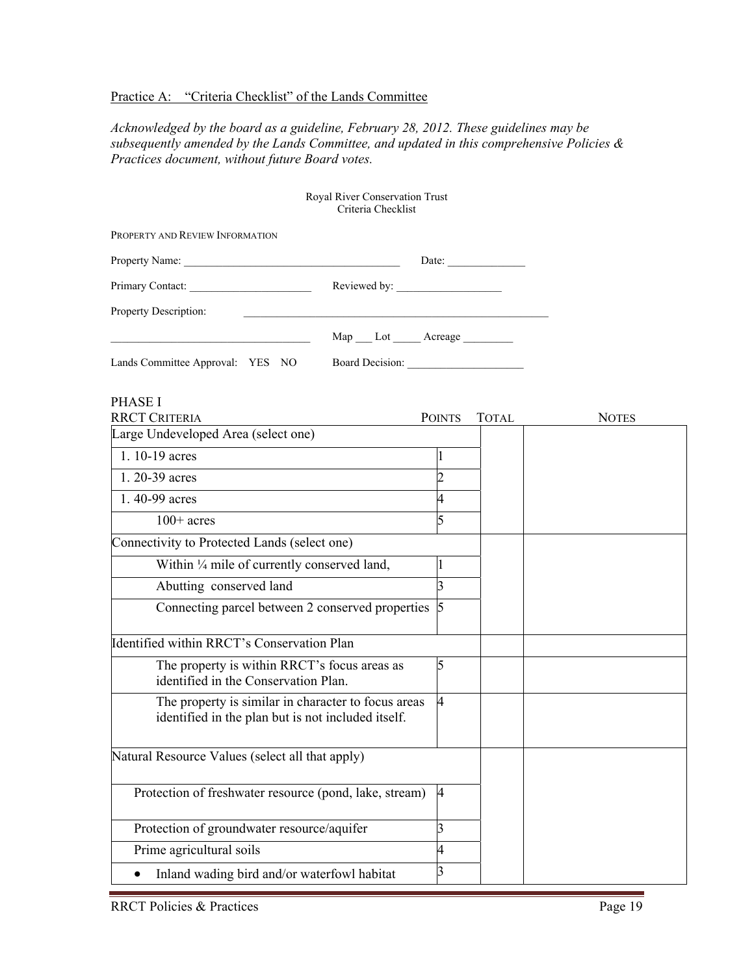#### Practice A: "Criteria Checklist" of the Lands Committee

*Acknowledged by the board as a guideline, February 28, 2012. These guidelines may be subsequently amended by the Lands Committee, and updated in this comprehensive Policies & Practices document, without future Board votes.* 

| Royal River Conservation Trust<br>Criteria Checklist                                                      |                |       |              |
|-----------------------------------------------------------------------------------------------------------|----------------|-------|--------------|
| PROPERTY AND REVIEW INFORMATION                                                                           |                |       |              |
|                                                                                                           |                |       |              |
|                                                                                                           |                |       |              |
| Property Description:                                                                                     |                |       |              |
| Map __ Lot _____ Acreage ________                                                                         |                |       |              |
| Lands Committee Approval: YES NO                                                                          |                |       |              |
| <b>PHASE I</b>                                                                                            |                |       |              |
| <b>RRCT CRITERIA</b><br>Large Undeveloped Area (select one)                                               | <b>POINTS</b>  | TOTAL | <b>NOTES</b> |
|                                                                                                           |                |       |              |
| 1.10-19 acres                                                                                             | 1              |       |              |
| 1. 20-39 acres                                                                                            | $\overline{2}$ |       |              |
| 1.40-99 acres                                                                                             |                |       |              |
| $100+$ acres                                                                                              |                |       |              |
| Connectivity to Protected Lands (select one)                                                              |                |       |              |
| Within 1/4 mile of currently conserved land,                                                              | 1              |       |              |
| Abutting conserved land                                                                                   | 3              |       |              |
| Connecting parcel between 2 conserved properties 5                                                        |                |       |              |
| Identified within RRCT's Conservation Plan                                                                |                |       |              |
| The property is within RRCT's focus areas as<br>identified in the Conservation Plan.                      | 5              |       |              |
| The property is similar in character to focus areas<br>identified in the plan but is not included itself. | 4              |       |              |
| Natural Resource Values (select all that apply)                                                           |                |       |              |
| Protection of freshwater resource (pond, lake, stream)                                                    | 4              |       |              |
| Protection of groundwater resource/aquifer                                                                | 3              |       |              |
| Prime agricultural soils                                                                                  | 4              |       |              |
| Inland wading bird and/or waterfowl habitat                                                               | 3              |       |              |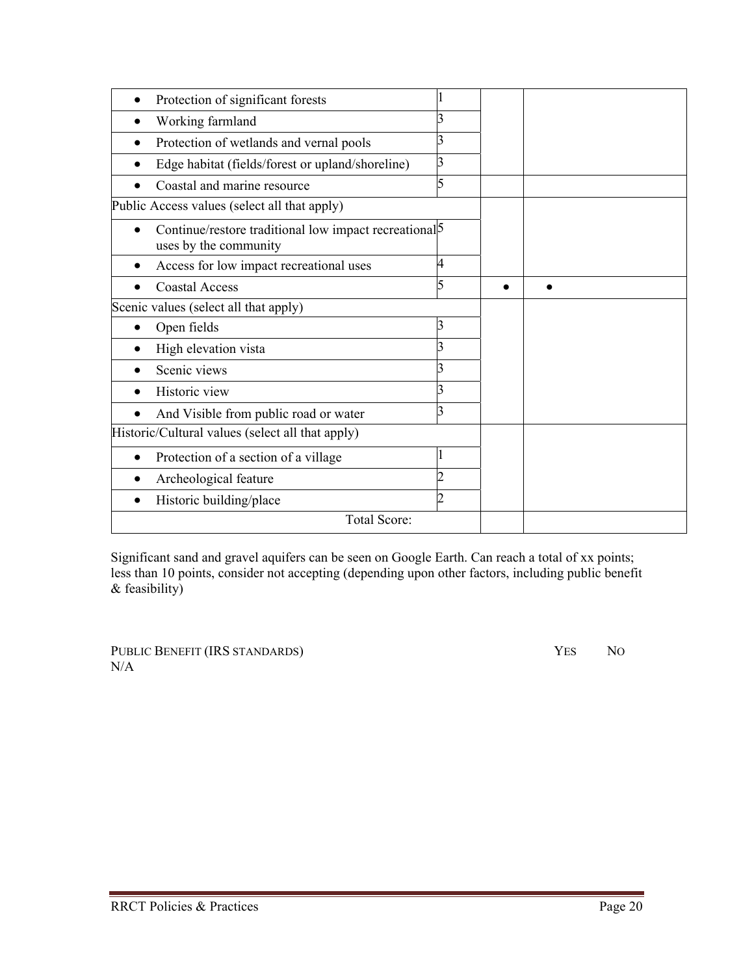| Protection of significant forests                                                     |   |  |
|---------------------------------------------------------------------------------------|---|--|
| Working farmland                                                                      |   |  |
| Protection of wetlands and vernal pools                                               |   |  |
| Edge habitat (fields/forest or upland/shoreline)                                      | 3 |  |
| Coastal and marine resource                                                           |   |  |
| Public Access values (select all that apply)                                          |   |  |
| Continue/restore traditional low impact recreational $\beta$<br>uses by the community |   |  |
| Access for low impact recreational uses                                               | 4 |  |
| <b>Coastal Access</b>                                                                 |   |  |
| Scenic values (select all that apply)                                                 |   |  |
| Open fields                                                                           |   |  |
| High elevation vista                                                                  |   |  |
| Scenic views                                                                          |   |  |
| Historic view                                                                         |   |  |
| And Visible from public road or water                                                 | 3 |  |
| Historic/Cultural values (select all that apply)                                      |   |  |
| Protection of a section of a village                                                  |   |  |
| Archeological feature                                                                 |   |  |
| Historic building/place                                                               | 2 |  |
| Total Score:                                                                          |   |  |
|                                                                                       |   |  |

Significant sand and gravel aquifers can be seen on Google Earth. Can reach a total of xx points; less than 10 points, consider not accepting (depending upon other factors, including public benefit  $&$  feasibility)

PUBLIC BENEFIT (IRS STANDARDS) YES NO N/A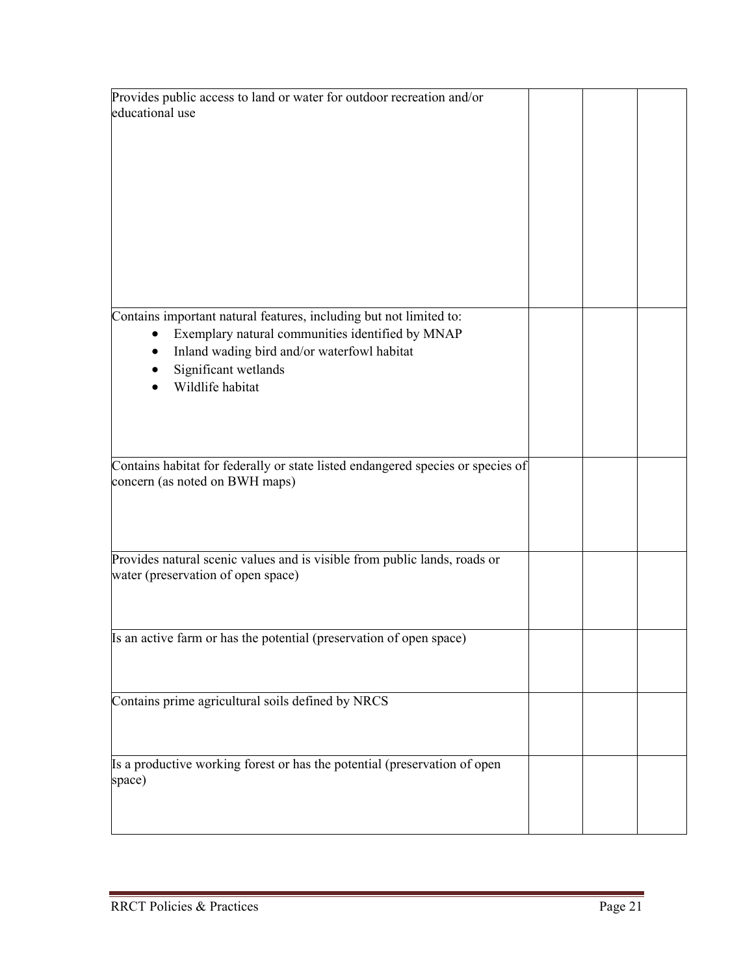| Provides public access to land or water for outdoor recreation and/or           |  |  |
|---------------------------------------------------------------------------------|--|--|
| educational use                                                                 |  |  |
|                                                                                 |  |  |
|                                                                                 |  |  |
|                                                                                 |  |  |
|                                                                                 |  |  |
|                                                                                 |  |  |
|                                                                                 |  |  |
|                                                                                 |  |  |
|                                                                                 |  |  |
|                                                                                 |  |  |
|                                                                                 |  |  |
|                                                                                 |  |  |
|                                                                                 |  |  |
|                                                                                 |  |  |
| Contains important natural features, including but not limited to:              |  |  |
| Exemplary natural communities identified by MNAP                                |  |  |
| Inland wading bird and/or waterfowl habitat                                     |  |  |
| Significant wetlands                                                            |  |  |
| Wildlife habitat                                                                |  |  |
|                                                                                 |  |  |
|                                                                                 |  |  |
|                                                                                 |  |  |
|                                                                                 |  |  |
|                                                                                 |  |  |
| Contains habitat for federally or state listed endangered species or species of |  |  |
| concern (as noted on BWH maps)                                                  |  |  |
|                                                                                 |  |  |
|                                                                                 |  |  |
|                                                                                 |  |  |
|                                                                                 |  |  |
| Provides natural scenic values and is visible from public lands, roads or       |  |  |
| water (preservation of open space)                                              |  |  |
|                                                                                 |  |  |
|                                                                                 |  |  |
|                                                                                 |  |  |
| Is an active farm or has the potential (preservation of open space)             |  |  |
|                                                                                 |  |  |
|                                                                                 |  |  |
|                                                                                 |  |  |
| Contains prime agricultural soils defined by NRCS                               |  |  |
|                                                                                 |  |  |
|                                                                                 |  |  |
|                                                                                 |  |  |
|                                                                                 |  |  |
| Is a productive working forest or has the potential (preservation of open       |  |  |
| space)                                                                          |  |  |
|                                                                                 |  |  |
|                                                                                 |  |  |
|                                                                                 |  |  |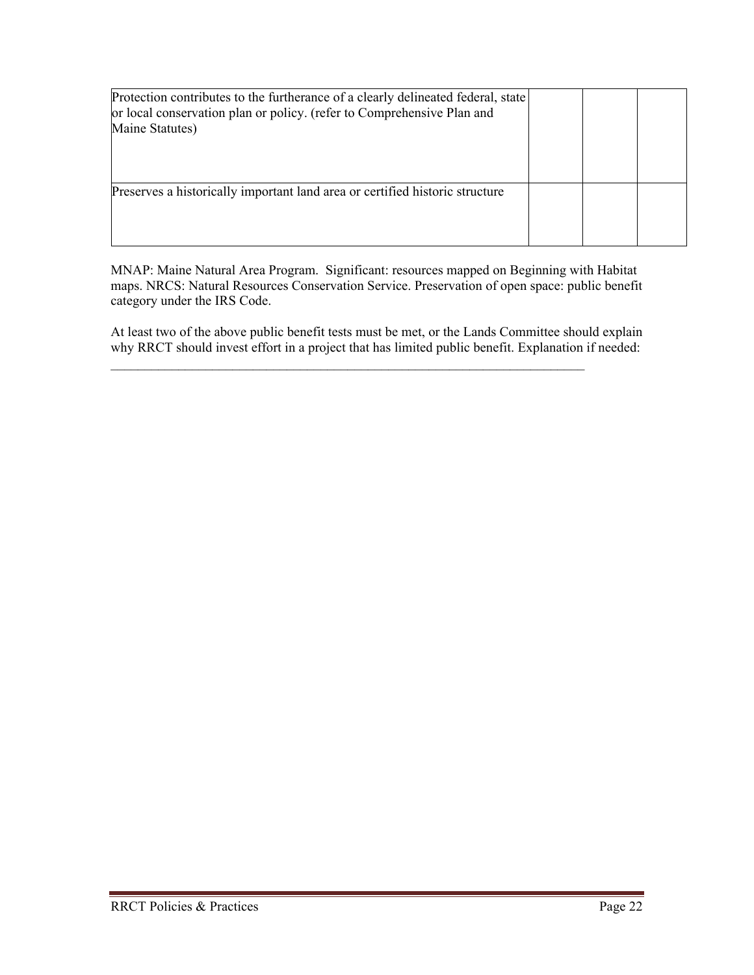| Protection contributes to the furtherance of a clearly delineated federal, state<br>or local conservation plan or policy. (refer to Comprehensive Plan and<br>Maine Statutes) |  |  |
|-------------------------------------------------------------------------------------------------------------------------------------------------------------------------------|--|--|
| Preserves a historically important land area or certified historic structure                                                                                                  |  |  |

MNAP: Maine Natural Area Program. Significant: resources mapped on Beginning with Habitat maps. NRCS: Natural Resources Conservation Service. Preservation of open space: public benefit category under the IRS Code.

At least two of the above public benefit tests must be met, or the Lands Committee should explain why RRCT should invest effort in a project that has limited public benefit. Explanation if needed:

 $\mathcal{L}_\text{max} = \frac{1}{2} \sum_{i=1}^n \mathcal{L}_\text{max}(\mathbf{x}_i - \mathbf{y}_i)$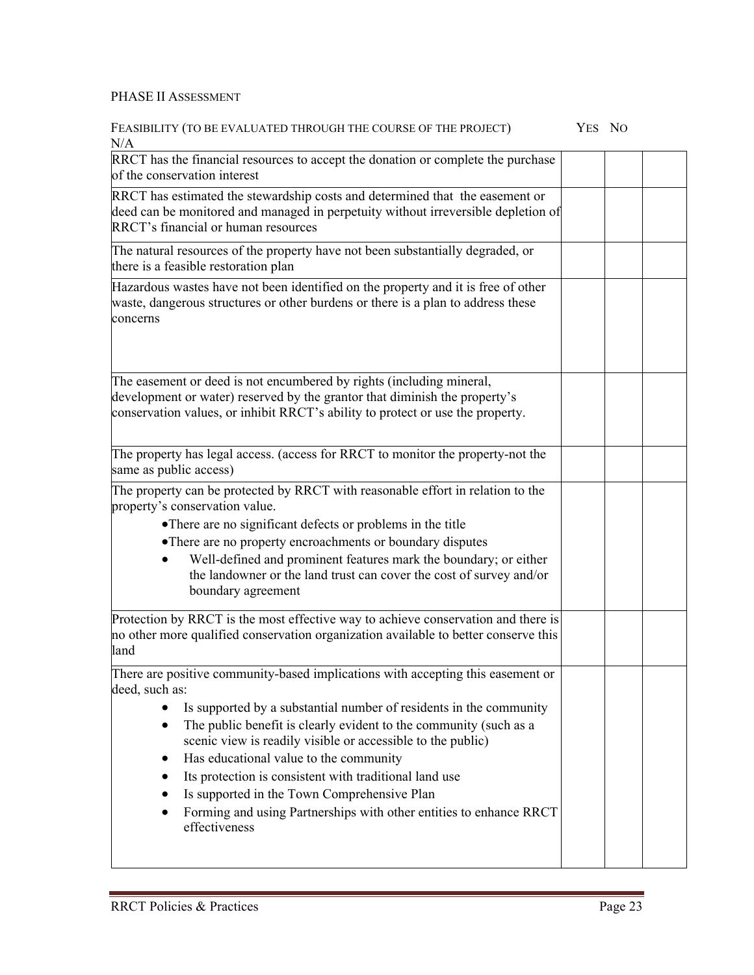#### PHASE II ASSESSMENT

#### FEASIBILITY (TO BE EVALUATED THROUGH THE COURSE OF THE PROJECT) YES NO  $N/A$

| N/A                                                                                                                                                                                                                                                                                                                                                                                                                                                                                                                                                   |  |  |
|-------------------------------------------------------------------------------------------------------------------------------------------------------------------------------------------------------------------------------------------------------------------------------------------------------------------------------------------------------------------------------------------------------------------------------------------------------------------------------------------------------------------------------------------------------|--|--|
| RRCT has the financial resources to accept the donation or complete the purchase<br>of the conservation interest                                                                                                                                                                                                                                                                                                                                                                                                                                      |  |  |
| RRCT has estimated the stewardship costs and determined that the easement or<br>deed can be monitored and managed in perpetuity without irreversible depletion of<br>RRCT's financial or human resources                                                                                                                                                                                                                                                                                                                                              |  |  |
| The natural resources of the property have not been substantially degraded, or<br>there is a feasible restoration plan                                                                                                                                                                                                                                                                                                                                                                                                                                |  |  |
| Hazardous wastes have not been identified on the property and it is free of other<br>waste, dangerous structures or other burdens or there is a plan to address these<br>concerns                                                                                                                                                                                                                                                                                                                                                                     |  |  |
| The easement or deed is not encumbered by rights (including mineral,<br>development or water) reserved by the grantor that diminish the property's<br>conservation values, or inhibit RRCT's ability to protect or use the property.                                                                                                                                                                                                                                                                                                                  |  |  |
| The property has legal access. (access for RRCT to monitor the property-not the<br>same as public access)                                                                                                                                                                                                                                                                                                                                                                                                                                             |  |  |
| The property can be protected by RRCT with reasonable effort in relation to the<br>property's conservation value.<br>• There are no significant defects or problems in the title<br>• There are no property encroachments or boundary disputes<br>Well-defined and prominent features mark the boundary; or either<br>the landowner or the land trust can cover the cost of survey and/or<br>boundary agreement                                                                                                                                       |  |  |
| Protection by RRCT is the most effective way to achieve conservation and there is<br>no other more qualified conservation organization available to better conserve this<br>land                                                                                                                                                                                                                                                                                                                                                                      |  |  |
| There are positive community-based implications with accepting this easement or<br>deed, such as:<br>Is supported by a substantial number of residents in the community<br>The public benefit is clearly evident to the community (such as a<br>scenic view is readily visible or accessible to the public)<br>Has educational value to the community<br>Its protection is consistent with traditional land use<br>Is supported in the Town Comprehensive Plan<br>Forming and using Partnerships with other entities to enhance RRCT<br>effectiveness |  |  |